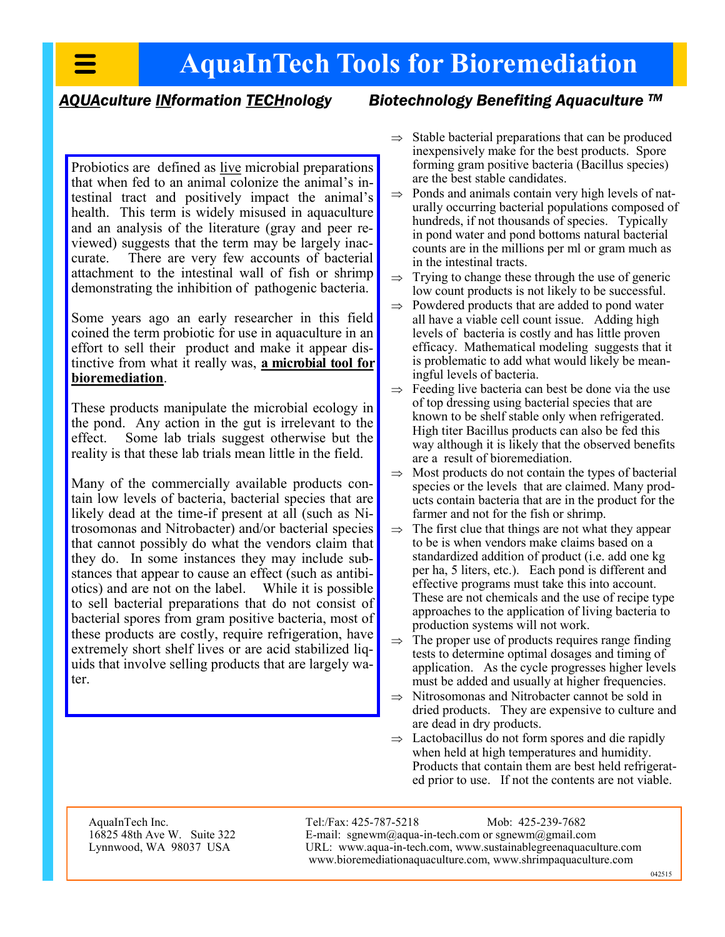## **AquaInTech Tools for Bioremediation**

#### *AQUAculture INformation TECHnology Biotechnology Benefiting Aquaculture TM*

Probiotics are defined as live microbial preparations that when fed to an animal colonize the animal's intestinal tract and positively impact the animal's health. This term is widely misused in aquaculture and an analysis of the literature (gray and peer reviewed) suggests that the term may be largely inaccurate. There are very few accounts of bacterial attachment to the intestinal wall of fish or shrimp demonstrating the inhibition of pathogenic bacteria.

Some years ago an early researcher in this field coined the term probiotic for use in aquaculture in an effort to sell their product and make it appear distinctive from what it really was, **a microbial tool for bioremediation**.

These products manipulate the microbial ecology in the pond. Any action in the gut is irrelevant to the effect. Some lab trials suggest otherwise but the reality is that these lab trials mean little in the field.

Many of the commercially available products contain low levels of bacteria, bacterial species that are likely dead at the time-if present at all (such as Nitrosomonas and Nitrobacter) and/or bacterial species that cannot possibly do what the vendors claim that they do. In some instances they may include substances that appear to cause an effect (such as antibiotics) and are not on the label. While it is possible to sell bacterial preparations that do not consist of bacterial spores from gram positive bacteria, most of these products are costly, require refrigeration, have extremely short shelf lives or are acid stabilized liquids that involve selling products that are largely water.

- $\Rightarrow$  Stable bacterial preparations that can be produced inexpensively make for the best products. Spore forming gram positive bacteria (Bacillus species) are the best stable candidates.
- $\Rightarrow$  Ponds and animals contain very high levels of naturally occurring bacterial populations composed of hundreds, if not thousands of species. Typically in pond water and pond bottoms natural bacterial counts are in the millions per ml or gram much as in the intestinal tracts.
- $\Rightarrow$  Trying to change these through the use of generic low count products is not likely to be successful.
- $\Rightarrow$  Powdered products that are added to pond water all have a viable cell count issue. Adding high levels of bacteria is costly and has little proven efficacy. Mathematical modeling suggests that it is problematic to add what would likely be meaningful levels of bacteria.
- $\Rightarrow$  Feeding live bacteria can best be done via the use of top dressing using bacterial species that are known to be shelf stable only when refrigerated. High titer Bacillus products can also be fed this way although it is likely that the observed benefits are a result of bioremediation.
- $\Rightarrow$  Most products do not contain the types of bacterial species or the levels that are claimed. Many products contain bacteria that are in the product for the farmer and not for the fish or shrimp.
- $\Rightarrow$  The first clue that things are not what they appear to be is when vendors make claims based on a standardized addition of product (i.e. add one kg per ha, 5 liters, etc.). Each pond is different and effective programs must take this into account. These are not chemicals and the use of recipe type approaches to the application of living bacteria to production systems will not work.
- $\Rightarrow$  The proper use of products requires range finding tests to determine optimal dosages and timing of application. As the cycle progresses higher levels must be added and usually at higher frequencies.
- $\Rightarrow$  Nitrosomonas and Nitrobacter cannot be sold in dried products. They are expensive to culture and are dead in dry products.
- $\Rightarrow$  Lactobacillus do not form spores and die rapidly when held at high temperatures and humidity. Products that contain them are best held refrigerated prior to use. If not the contents are not viable.

AquaInTech Inc. 16825 48th Ave W. Suite 322 Lynnwood, WA 98037 USA

Tel:/Fax: 425-787-5218 Mob: 425-239-7682 E-mail: sgnewm@aqua-in-tech.com or sgnewm@gmail.com URL: www.aqua-in-tech.com, www.sustainablegreenaquaculture.com www.bioremediationaquaculture.com, www.shrimpaquaculture.com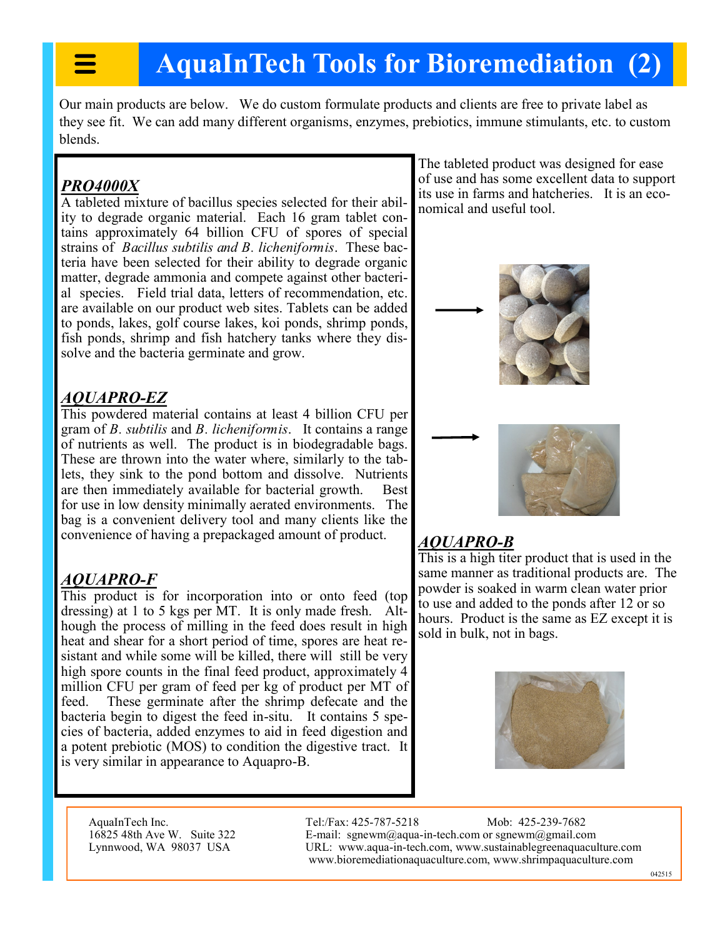# **AquaInTech Tools for Bioremediation (2)**

Our main products are below. We do custom formulate products and clients are free to private label as they see fit. We can add many different organisms, enzymes, prebiotics, immune stimulants, etc. to custom blends.

#### *PRO4000X*

A tableted mixture of bacillus species selected for their ability to degrade organic material. Each 16 gram tablet contains approximately 64 billion CFU of spores of special strains of *Bacillus subtilis and B. licheniformis*. These bacteria have been selected for their ability to degrade organic matter, degrade ammonia and compete against other bacterial species. Field trial data, letters of recommendation, etc. are available on our product web sites. Tablets can be added to ponds, lakes, golf course lakes, koi ponds, shrimp ponds, fish ponds, shrimp and fish hatchery tanks where they dissolve and the bacteria germinate and grow.

#### *AQUAPRO-EZ*

This powdered material contains at least 4 billion CFU per gram of *B. subtilis* and *B. licheniformis*. It contains a range of nutrients as well. The product is in biodegradable bags. These are thrown into the water where, similarly to the tablets, they sink to the pond bottom and dissolve. Nutrients are then immediately available for bacterial growth. Best for use in low density minimally aerated environments. The bag is a convenient delivery tool and many clients like the convenience of having a prepackaged amount of product.

#### *AQUAPRO-F*

This product is for incorporation into or onto feed (top dressing) at 1 to 5 kgs per MT. It is only made fresh. Although the process of milling in the feed does result in high heat and shear for a short period of time, spores are heat resistant and while some will be killed, there will still be very high spore counts in the final feed product, approximately 4 million CFU per gram of feed per kg of product per MT of feed. These germinate after the shrimp defecate and the bacteria begin to digest the feed in-situ. It contains 5 species of bacteria, added enzymes to aid in feed digestion and a potent prebiotic (MOS) to condition the digestive tract. It is very similar in appearance to Aquapro-B.

The tableted product was designed for ease of use and has some excellent data to support its use in farms and hatcheries. It is an economical and useful tool.



### *AQUAPRO-B*

This is a high titer product that is used in the same manner as traditional products are. The powder is soaked in warm clean water prior to use and added to the ponds after 12 or so hours. Product is the same as EZ except it is sold in bulk, not in bags.



AquaInTech Inc. 16825 48th Ave W. Suite 322 Lynnwood, WA 98037 USA

Tel:/Fax: 425-787-5218 Mob: 425-239-7682 E-mail: sgnewm@aqua-in-tech.com or sgnewm@gmail.com URL: www.aqua-in-tech.com, www.sustainablegreenaquaculture.com www.bioremediationaquaculture.com, www.shrimpaquaculture.com